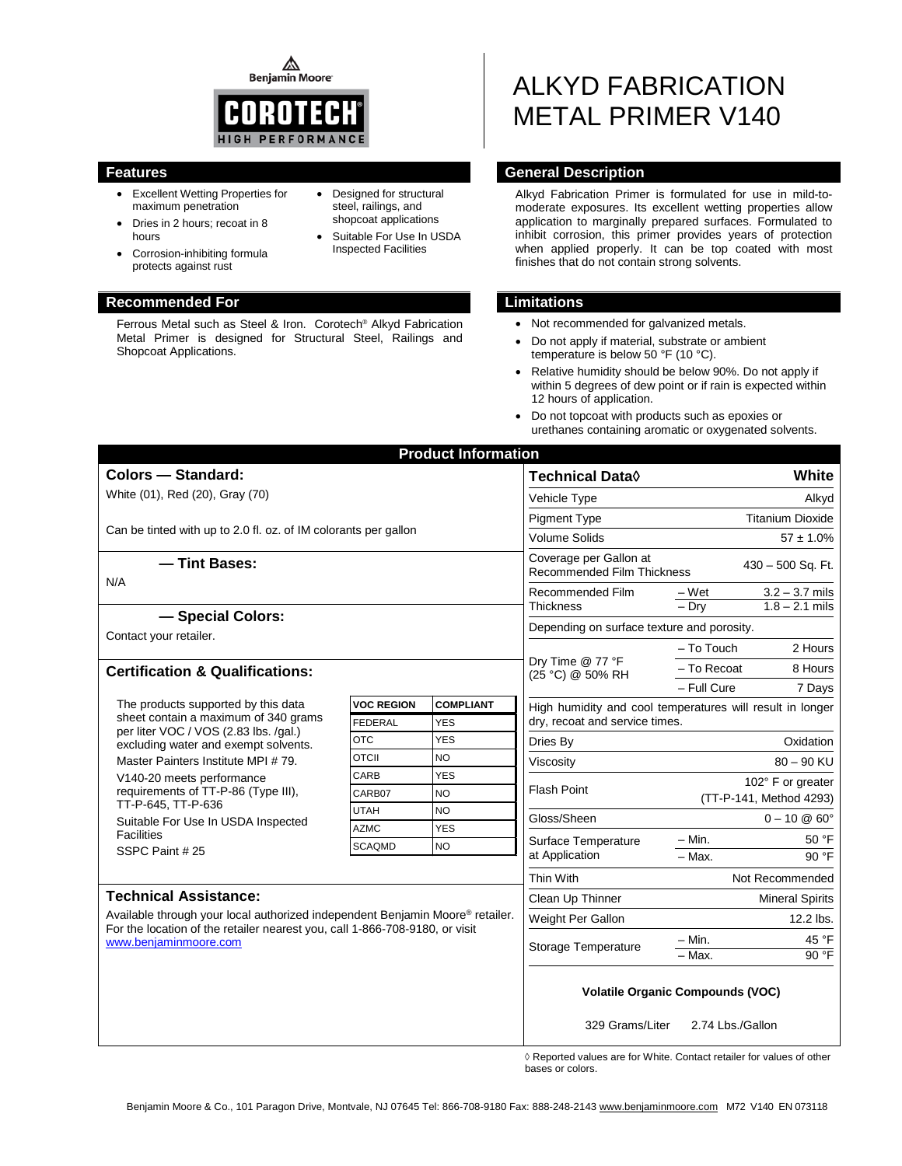◬ **Benjamin Moore** 



• Designed for structural steel, railings, and shopcoat applications Suitable For Use In USDA Inspected Facilities

- Excellent Wetting Properties for maximum penetration
- Dries in 2 hours; recoat in 8 hours
- Corrosion-inhibiting formula protects against rust

### **Recommended For Limitations**

Ferrous Metal such as Steel & Iron. Corotech® Alkyd Fabrication Metal Primer is designed for Structural Steel, Railings and Shopcoat Applications.

# ALKYD FABRICATION METAL PRIMER V140

### **Features General Description**

Alkyd Fabrication Primer is formulated for use in mild-tomoderate exposures. Its excellent wetting properties allow application to marginally prepared surfaces. Formulated to inhibit corrosion, this primer provides years of protection when applied properly. It can be top coated with most finishes that do not contain strong solvents.

- Not recommended for galvanized metals.
- Do not apply if material, substrate or ambient temperature is below 50 °F (10 °C).
- Relative humidity should be below 90%. Do not apply if within 5 degrees of dew point or if rain is expected within 12 hours of application.
- Do not topcoat with products such as epoxies or urethanes containing aromatic or oxygenated solvents.

|                                                                                                                                                                                                                       |                   | <b>Product Information</b> |                                                                                  |                                                                                             |           |  |
|-----------------------------------------------------------------------------------------------------------------------------------------------------------------------------------------------------------------------|-------------------|----------------------------|----------------------------------------------------------------------------------|---------------------------------------------------------------------------------------------|-----------|--|
| <b>Colors - Standard:</b>                                                                                                                                                                                             |                   |                            | <b>Technical Data</b> ♦                                                          | White                                                                                       |           |  |
| White (01), Red (20), Gray (70)                                                                                                                                                                                       |                   |                            | Vehicle Type<br>Alkyd                                                            |                                                                                             |           |  |
|                                                                                                                                                                                                                       |                   |                            | <b>Titanium Dioxide</b><br><b>Pigment Type</b>                                   |                                                                                             |           |  |
| Can be tinted with up to 2.0 fl. oz. of IM colorants per gallon                                                                                                                                                       |                   |                            | <b>Volume Solids</b><br>$57 \pm 1.0\%$                                           |                                                                                             |           |  |
| - Tint Bases:                                                                                                                                                                                                         |                   |                            | Coverage per Gallon at<br>430 - 500 Sq. Ft.<br><b>Recommended Film Thickness</b> |                                                                                             |           |  |
| N/A                                                                                                                                                                                                                   |                   |                            | Recommended Film                                                                 | $3.2 - 3.7$ mils<br>– Wet                                                                   |           |  |
| - Special Colors:                                                                                                                                                                                                     |                   |                            | <b>Thickness</b>                                                                 | $-$ Drv<br>$1.8 - 2.1$ mils                                                                 |           |  |
| Contact your retailer.                                                                                                                                                                                                |                   |                            | Depending on surface texture and porosity.                                       |                                                                                             |           |  |
|                                                                                                                                                                                                                       |                   |                            |                                                                                  | $-$ To Touch                                                                                | 2 Hours   |  |
| <b>Certification &amp; Qualifications:</b>                                                                                                                                                                            |                   |                            | Dry Time @ 77 °F<br>(25 °C) @ 50% RH                                             | - To Recoat                                                                                 | 8 Hours   |  |
|                                                                                                                                                                                                                       |                   |                            |                                                                                  | - Full Cure                                                                                 | 7 Days    |  |
| The products supported by this data                                                                                                                                                                                   | <b>VOC REGION</b> | <b>COMPLIANT</b>           |                                                                                  | High humidity and cool temperatures will result in longer<br>dry, recoat and service times. |           |  |
| sheet contain a maximum of 340 grams<br>per liter VOC / VOS (2.83 lbs. /gal.)                                                                                                                                         | <b>FEDERAL</b>    | <b>YES</b>                 |                                                                                  |                                                                                             |           |  |
| excluding water and exempt solvents.                                                                                                                                                                                  | <b>OTC</b>        | <b>YES</b>                 | Dries By                                                                         |                                                                                             | Oxidation |  |
| Master Painters Institute MPI #79.                                                                                                                                                                                    | <b>OTCII</b>      | <b>NO</b>                  | Viscosity                                                                        | $80 - 90$ KU                                                                                |           |  |
| V140-20 meets performance                                                                                                                                                                                             | CARB              | <b>YES</b>                 | <b>Flash Point</b>                                                               | 102° F or greater<br>(TT-P-141, Method 4293)                                                |           |  |
| requirements of TT-P-86 (Type III),<br>TT-P-645, TT-P-636<br>Suitable For Use In USDA Inspected                                                                                                                       | CARB07            | <b>NO</b>                  |                                                                                  |                                                                                             |           |  |
|                                                                                                                                                                                                                       | <b>UTAH</b>       | <b>NO</b>                  | Gloss/Sheen                                                                      | $0 - 10 \& 60^{\circ}$                                                                      |           |  |
| <b>Facilities</b>                                                                                                                                                                                                     | <b>AZMC</b>       | <b>YES</b>                 | Surface Temperature                                                              | $- Min.$                                                                                    | 50 °F     |  |
| SSPC Paint #25                                                                                                                                                                                                        | <b>SCAQMD</b>     | <b>NO</b>                  | at Application                                                                   | $-$ Max.                                                                                    | 90°F      |  |
|                                                                                                                                                                                                                       |                   |                            | Thin With                                                                        | Not Recommended                                                                             |           |  |
| <b>Technical Assistance:</b><br>Available through your local authorized independent Benjamin Moore® retailer.<br>For the location of the retailer nearest you, call 1-866-708-9180, or visit<br>www.benjaminmoore.com |                   |                            | Clean Up Thinner                                                                 | <b>Mineral Spirits</b>                                                                      |           |  |
|                                                                                                                                                                                                                       |                   |                            | Weight Per Gallon                                                                | 12.2 lbs.                                                                                   |           |  |
|                                                                                                                                                                                                                       |                   |                            |                                                                                  | – Min.                                                                                      | 45 °F     |  |
|                                                                                                                                                                                                                       |                   |                            | Storage Temperature                                                              | $-$ Max.                                                                                    | 90 °F     |  |
|                                                                                                                                                                                                                       |                   |                            | 329 Grams/Liter                                                                  | <b>Volatile Organic Compounds (VOC)</b><br>2.74 Lbs./Gallon                                 |           |  |
|                                                                                                                                                                                                                       |                   |                            |                                                                                  | $\Diamond$ Reported values are for White. Contact retailer for values of other              |           |  |

◊ Reported values are for White. Contact retailer for values of other bases or colors.